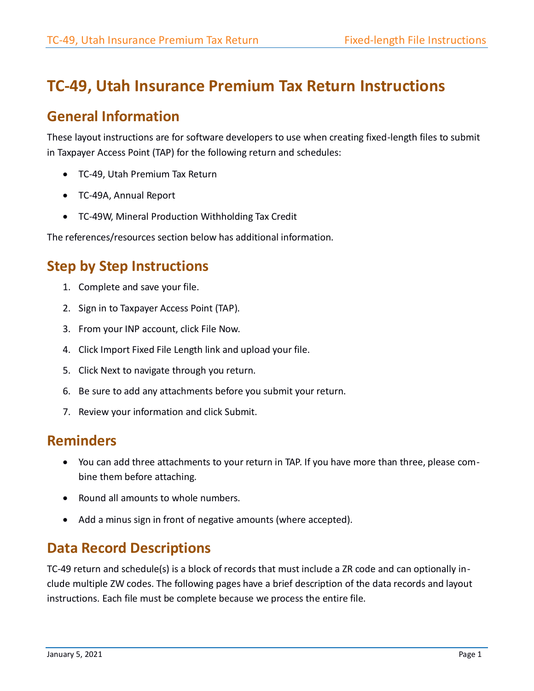# **TC-49, Utah Insurance Premium Tax Return Instructions**

## **General Information**

These layout instructions are for software developers to use when creating fixed-length files to submit in Taxpayer Access Point (TAP) for the following return and schedules:

- TC-49, Utah Premium Tax Return
- TC-49A, Annual Report
- TC-49W, Mineral Production Withholding Tax Credit

The references/resources section below has additional information.

# **Step by Step Instructions**

- 1. Complete and save your file.
- 2. Sign in to Taxpayer Access Point (TAP).
- 3. From your INP account, click File Now.
- 4. Click Import Fixed File Length link and upload your file.
- 5. Click Next to navigate through you return.
- 6. Be sure to add any attachments before you submit your return.
- 7. Review your information and click Submit.

### **Reminders**

- You can add three attachments to your return in TAP. If you have more than three, please combine them before attaching.
- Round all amounts to whole numbers.
- Add a minus sign in front of negative amounts (where accepted).

## **Data Record Descriptions**

TC-49 return and schedule(s) is a block of records that must include a ZR code and can optionally include multiple ZW codes. The following pages have a brief description of the data records and layout instructions. Each file must be complete because we process the entire file.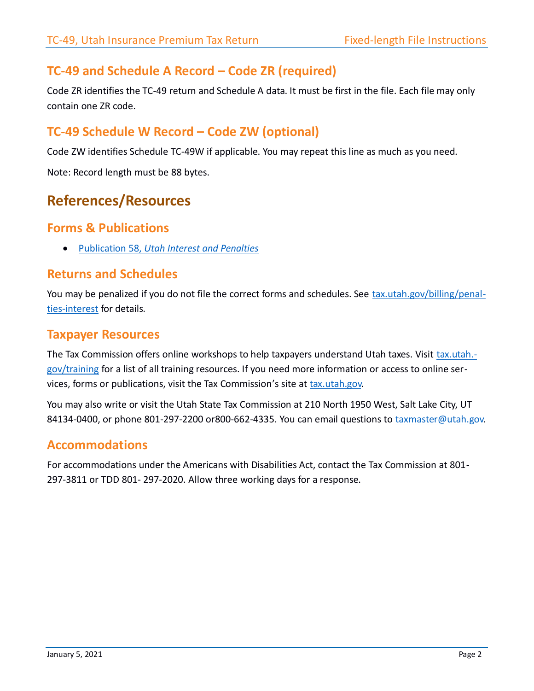### **TC-49 and Schedule A Record – Code ZR (required)**

Code ZR identifies the TC-49 return and Schedule A data. It must be first in the file. Each file may only contain one ZR code.

### **TC-49 Schedule W Record – Code ZW (optional)**

Code ZW identifies Schedule TC-49W if applicable. You may repeat this line as much as you need.

Note: Record length must be 88 bytes.

## **References/Resources**

#### **Forms & Publications**

Publication 58, *[Utah Interest and Penalties](https://tax.utah.gov/forms/pubs/pub-58.pdf)*

#### **Returns and Schedules**

You may be penalized if you do not file the correct forms and schedules. See [tax.utah.gov/billing/penal](https://tax.utah.gov/billing/penalties-interest)[ties-interest](https://tax.utah.gov/billing/penalties-interest) for details.

#### **Taxpayer Resources**

The Tax Commission offers online workshops to help taxpayers understand Utah taxes. Visit [tax.utah.](https://tax.utah.gov/training) [gov/training](https://tax.utah.gov/training) for a list of all training resources. If you need more information or access to online services, forms or publications, visit the Tax Commission's site a[t tax.utah.gov.](https://tax.utah.gov/)

You may also write or visit the Utah State Tax Commission at 210 North 1950 West, Salt Lake City, UT 84134-0400, or phone 801-297-2200 or800-662-4335. You can email questions to [taxmaster@utah.gov.](mailto:taxmaster@utah.gov)

#### **Accommodations**

For accommodations under the Americans with Disabilities Act, contact the Tax Commission at 801- 297-3811 or TDD 801- 297-2020. Allow three working days for a response.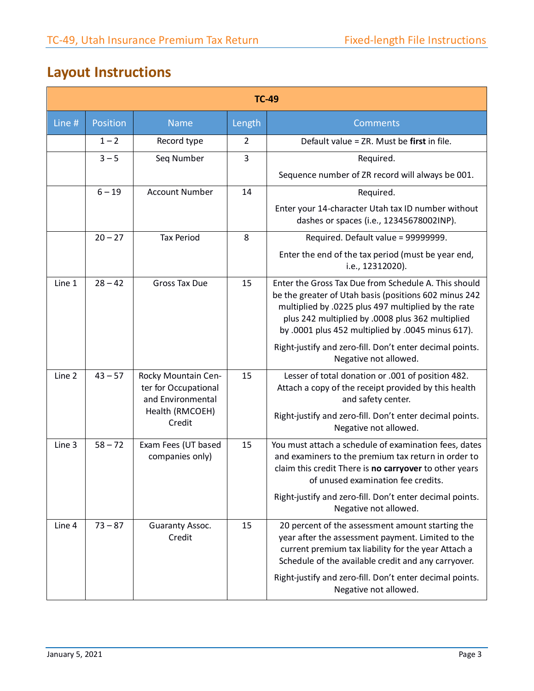# **Layout Instructions**

| <b>TC-49</b> |           |                                                                  |                |                                                                                                                                                                                                                                                                               |
|--------------|-----------|------------------------------------------------------------------|----------------|-------------------------------------------------------------------------------------------------------------------------------------------------------------------------------------------------------------------------------------------------------------------------------|
| Line #       | Position  | <b>Name</b>                                                      | Length         | <b>Comments</b>                                                                                                                                                                                                                                                               |
|              | $1 - 2$   | Record type                                                      | $\overline{2}$ | Default value = ZR. Must be first in file.                                                                                                                                                                                                                                    |
|              | $3 - 5$   | Seq Number                                                       | 3              | Required.                                                                                                                                                                                                                                                                     |
|              |           |                                                                  |                | Sequence number of ZR record will always be 001.                                                                                                                                                                                                                              |
|              | $6 - 19$  | <b>Account Number</b>                                            | 14             | Required.                                                                                                                                                                                                                                                                     |
|              |           |                                                                  |                | Enter your 14-character Utah tax ID number without<br>dashes or spaces (i.e., 12345678002INP).                                                                                                                                                                                |
|              | $20 - 27$ | <b>Tax Period</b>                                                | 8              | Required. Default value = 99999999.                                                                                                                                                                                                                                           |
|              |           |                                                                  |                | Enter the end of the tax period (must be year end,<br>i.e., 12312020).                                                                                                                                                                                                        |
| Line 1       | $28 - 42$ | <b>Gross Tax Due</b>                                             | 15             | Enter the Gross Tax Due from Schedule A. This should<br>be the greater of Utah basis (positions 602 minus 242<br>multiplied by .0225 plus 497 multiplied by the rate<br>plus 242 multiplied by .0008 plus 362 multiplied<br>by .0001 plus 452 multiplied by .0045 minus 617). |
|              |           |                                                                  |                | Right-justify and zero-fill. Don't enter decimal points.<br>Negative not allowed.                                                                                                                                                                                             |
| Line 2       | $43 - 57$ | Rocky Mountain Cen-<br>ter for Occupational<br>and Environmental | 15             | Lesser of total donation or .001 of position 482.<br>Attach a copy of the receipt provided by this health<br>and safety center.                                                                                                                                               |
|              |           | Health (RMCOEH)<br>Credit                                        |                | Right-justify and zero-fill. Don't enter decimal points.<br>Negative not allowed.                                                                                                                                                                                             |
| Line 3       | $58 - 72$ | Exam Fees (UT based<br>companies only)                           | 15             | You must attach a schedule of examination fees, dates<br>and examiners to the premium tax return in order to<br>claim this credit There is no carryover to other years<br>of unused examination fee credits.                                                                  |
|              |           |                                                                  |                | Right-justify and zero-fill. Don't enter decimal points.<br>Negative not allowed.                                                                                                                                                                                             |
| Line 4       | $73 - 87$ | Guaranty Assoc.<br>Credit                                        | 15             | 20 percent of the assessment amount starting the<br>year after the assessment payment. Limited to the<br>current premium tax liability for the year Attach a<br>Schedule of the available credit and any carryover.                                                           |
|              |           |                                                                  |                | Right-justify and zero-fill. Don't enter decimal points.<br>Negative not allowed.                                                                                                                                                                                             |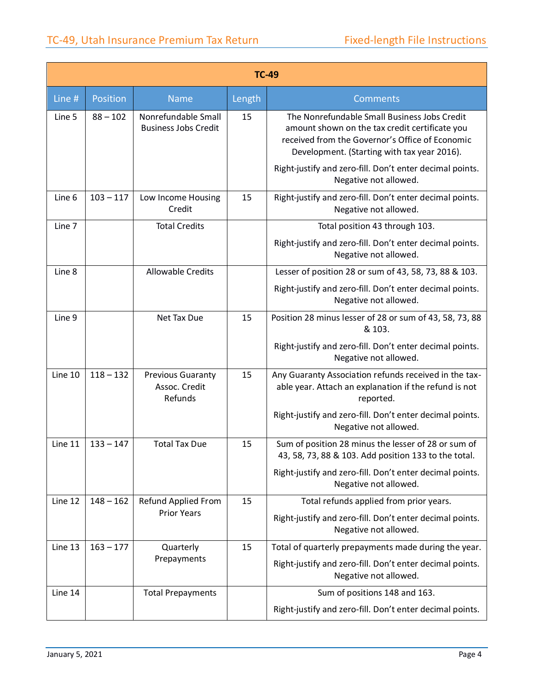| <b>TC-49</b> |             |                                                      |        |                                                                                                                                                                                                  |
|--------------|-------------|------------------------------------------------------|--------|--------------------------------------------------------------------------------------------------------------------------------------------------------------------------------------------------|
| Line #       | Position    | <b>Name</b>                                          | Length | Comments                                                                                                                                                                                         |
| Line 5       | $88 - 102$  | Nonrefundable Small<br><b>Business Jobs Credit</b>   | 15     | The Nonrefundable Small Business Jobs Credit<br>amount shown on the tax credit certificate you<br>received from the Governor's Office of Economic<br>Development. (Starting with tax year 2016). |
|              |             |                                                      |        | Right-justify and zero-fill. Don't enter decimal points.<br>Negative not allowed.                                                                                                                |
| Line 6       | $103 - 117$ | Low Income Housing<br>Credit                         | 15     | Right-justify and zero-fill. Don't enter decimal points.<br>Negative not allowed.                                                                                                                |
| Line 7       |             | <b>Total Credits</b>                                 |        | Total position 43 through 103.                                                                                                                                                                   |
|              |             |                                                      |        | Right-justify and zero-fill. Don't enter decimal points.<br>Negative not allowed.                                                                                                                |
| Line 8       |             | <b>Allowable Credits</b>                             |        | Lesser of position 28 or sum of 43, 58, 73, 88 & 103.                                                                                                                                            |
|              |             |                                                      |        | Right-justify and zero-fill. Don't enter decimal points.<br>Negative not allowed.                                                                                                                |
| Line 9       |             | Net Tax Due                                          | 15     | Position 28 minus lesser of 28 or sum of 43, 58, 73, 88<br>& 103.                                                                                                                                |
|              |             |                                                      |        | Right-justify and zero-fill. Don't enter decimal points.<br>Negative not allowed.                                                                                                                |
| Line 10      | $118 - 132$ | <b>Previous Guaranty</b><br>Assoc. Credit<br>Refunds | 15     | Any Guaranty Association refunds received in the tax-<br>able year. Attach an explanation if the refund is not<br>reported.                                                                      |
|              |             |                                                      |        | Right-justify and zero-fill. Don't enter decimal points.<br>Negative not allowed.                                                                                                                |
| Line 11      | $133 - 147$ | <b>Total Tax Due</b>                                 | 15     | Sum of position 28 minus the lesser of 28 or sum of<br>43, 58, 73, 88 & 103. Add position 133 to the total.                                                                                      |
|              |             |                                                      |        | Right-justify and zero-fill. Don't enter decimal points.<br>Negative not allowed.                                                                                                                |
| Line 12      | $148 - 162$ | Refund Applied From                                  | 15     | Total refunds applied from prior years.                                                                                                                                                          |
|              |             | <b>Prior Years</b>                                   |        | Right-justify and zero-fill. Don't enter decimal points.<br>Negative not allowed.                                                                                                                |
| Line 13      | $163 - 177$ | Quarterly                                            | 15     | Total of quarterly prepayments made during the year.                                                                                                                                             |
|              |             | Prepayments                                          |        | Right-justify and zero-fill. Don't enter decimal points.<br>Negative not allowed.                                                                                                                |
| Line 14      |             | <b>Total Prepayments</b>                             |        | Sum of positions 148 and 163.                                                                                                                                                                    |
|              |             |                                                      |        | Right-justify and zero-fill. Don't enter decimal points.                                                                                                                                         |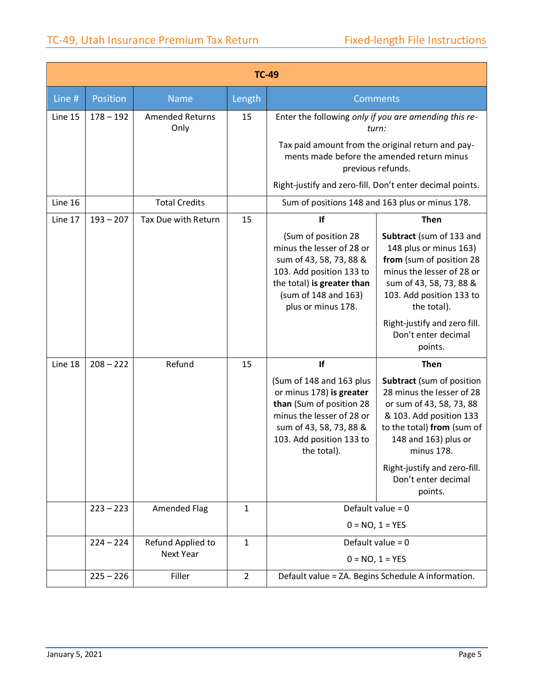|         | <b>TC-49</b> |                                       |                |                                                                                                                                                                                     |                                                                                                                                                                                                                                                     |  |
|---------|--------------|---------------------------------------|----------------|-------------------------------------------------------------------------------------------------------------------------------------------------------------------------------------|-----------------------------------------------------------------------------------------------------------------------------------------------------------------------------------------------------------------------------------------------------|--|
| Line #  | Position     | <b>Name</b>                           | Length         |                                                                                                                                                                                     | Comments                                                                                                                                                                                                                                            |  |
| Line 15 | $178 - 192$  | <b>Amended Returns</b><br>Only        | 15             |                                                                                                                                                                                     | Enter the following only if you are amending this re-<br>turn:<br>Tax paid amount from the original return and pay-<br>ments made before the amended return minus<br>previous refunds.<br>Right-justify and zero-fill. Don't enter decimal points.  |  |
| Line 16 |              | <b>Total Credits</b>                  |                |                                                                                                                                                                                     | Sum of positions 148 and 163 plus or minus 178.                                                                                                                                                                                                     |  |
| Line 17 | $193 - 207$  | Tax Due with Return                   | 15             | If                                                                                                                                                                                  | <b>Then</b>                                                                                                                                                                                                                                         |  |
|         |              |                                       |                | (Sum of position 28<br>minus the lesser of 28 or<br>sum of 43, 58, 73, 88 &<br>103. Add position 133 to<br>the total) is greater than<br>(sum of 148 and 163)<br>plus or minus 178. | Subtract (sum of 133 and<br>148 plus or minus 163)<br>from (sum of position 28<br>minus the lesser of 28 or<br>sum of 43, 58, 73, 88 &<br>103. Add position 133 to<br>the total).<br>Right-justify and zero fill.<br>Don't enter decimal<br>points. |  |
| Line 18 | $208 - 222$  | Refund                                | 15             | If                                                                                                                                                                                  | <b>Then</b>                                                                                                                                                                                                                                         |  |
|         |              |                                       |                | (Sum of 148 and 163 plus<br>or minus 178) is greater<br>than (Sum of position 28<br>minus the lesser of 28 or<br>sum of 43, 58, 73, 88 &<br>103. Add position 133 to<br>the total). | Subtract (sum of position<br>28 minus the lesser of 28<br>or sum of 43, 58, 73, 88<br>& 103. Add position 133<br>to the total) from (sum of<br>148 and 163) plus or<br>minus 178.                                                                   |  |
|         |              |                                       |                |                                                                                                                                                                                     | Right-justify and zero-fill.<br>Don't enter decimal<br>points.                                                                                                                                                                                      |  |
|         | $223 - 223$  | <b>Amended Flag</b>                   | $\mathbf{1}$   |                                                                                                                                                                                     | Default value = $0$                                                                                                                                                                                                                                 |  |
|         |              |                                       |                |                                                                                                                                                                                     | $0 = NO, 1 = YES$                                                                                                                                                                                                                                   |  |
|         | $224 - 224$  | Refund Applied to<br><b>Next Year</b> | $\mathbf{1}$   |                                                                                                                                                                                     | Default value = $0$<br>$0 = NO, 1 = YES$                                                                                                                                                                                                            |  |
|         | $225 - 226$  | Filler                                | $\overline{2}$ |                                                                                                                                                                                     | Default value = ZA. Begins Schedule A information.                                                                                                                                                                                                  |  |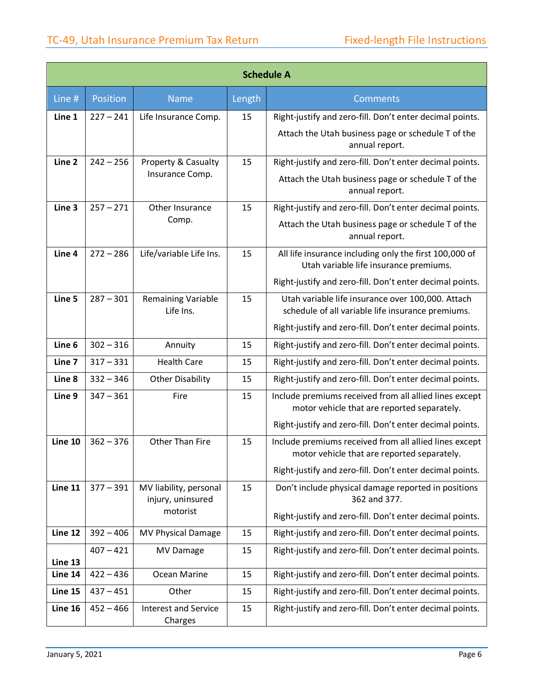| <b>Schedule A</b>  |             |                                             |        |                                                                                                        |
|--------------------|-------------|---------------------------------------------|--------|--------------------------------------------------------------------------------------------------------|
| Line #             | Position    | <b>Name</b>                                 | Length | <b>Comments</b>                                                                                        |
| Line 1             | $227 - 241$ | Life Insurance Comp.                        | 15     | Right-justify and zero-fill. Don't enter decimal points.                                               |
|                    |             |                                             |        | Attach the Utah business page or schedule T of the<br>annual report.                                   |
| Line 2             | $242 - 256$ | <b>Property &amp; Casualty</b>              | 15     | Right-justify and zero-fill. Don't enter decimal points.                                               |
|                    |             | Insurance Comp.                             |        | Attach the Utah business page or schedule T of the<br>annual report.                                   |
| Line 3             | $257 - 271$ | Other Insurance                             | 15     | Right-justify and zero-fill. Don't enter decimal points.                                               |
|                    |             | Comp.                                       |        | Attach the Utah business page or schedule T of the<br>annual report.                                   |
| Line 4             | $272 - 286$ | Life/variable Life Ins.                     | 15     | All life insurance including only the first 100,000 of<br>Utah variable life insurance premiums.       |
|                    |             |                                             |        | Right-justify and zero-fill. Don't enter decimal points.                                               |
| Line 5             | $287 - 301$ | <b>Remaining Variable</b><br>Life Ins.      | 15     | Utah variable life insurance over 100,000. Attach<br>schedule of all variable life insurance premiums. |
|                    |             |                                             |        | Right-justify and zero-fill. Don't enter decimal points.                                               |
| Line 6             | $302 - 316$ | Annuity                                     | 15     | Right-justify and zero-fill. Don't enter decimal points.                                               |
| Line 7             | $317 - 331$ | <b>Health Care</b>                          | 15     | Right-justify and zero-fill. Don't enter decimal points.                                               |
| Line 8             | $332 - 346$ | <b>Other Disability</b>                     | 15     | Right-justify and zero-fill. Don't enter decimal points.                                               |
| Line 9             | $347 - 361$ | Fire                                        | 15     | Include premiums received from all allied lines except<br>motor vehicle that are reported separately.  |
|                    |             |                                             |        | Right-justify and zero-fill. Don't enter decimal points.                                               |
| Line 10            | $362 - 376$ | Other Than Fire                             | 15     | Include premiums received from all allied lines except<br>motor vehicle that are reported separately.  |
|                    |             |                                             |        | Right-justify and zero-fill. Don't enter decimal points.                                               |
| Line 11            | $377 - 391$ | MV liability, personal<br>injury, uninsured | 15     | Don't include physical damage reported in positions<br>362 and 377.                                    |
|                    |             | motorist                                    |        | Right-justify and zero-fill. Don't enter decimal points.                                               |
| Line 12            | $392 - 406$ | MV Physical Damage                          | 15     | Right-justify and zero-fill. Don't enter decimal points.                                               |
|                    | $407 - 421$ | MV Damage                                   | 15     | Right-justify and zero-fill. Don't enter decimal points.                                               |
| Line 13<br>Line 14 | $422 - 436$ | Ocean Marine                                | 15     | Right-justify and zero-fill. Don't enter decimal points.                                               |
| Line 15            | $437 - 451$ | Other                                       | 15     | Right-justify and zero-fill. Don't enter decimal points.                                               |
| Line 16            | $452 - 466$ | <b>Interest and Service</b><br>Charges      | 15     | Right-justify and zero-fill. Don't enter decimal points.                                               |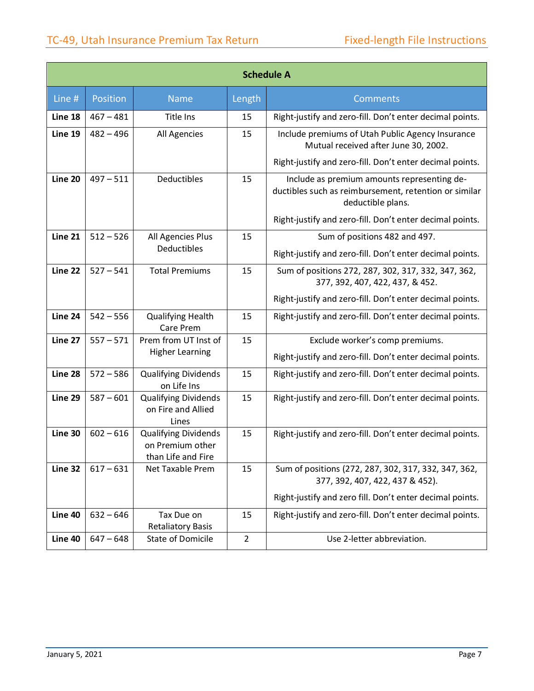| <b>Schedule A</b> |             |                                                                       |                |                                                                                                                           |  |
|-------------------|-------------|-----------------------------------------------------------------------|----------------|---------------------------------------------------------------------------------------------------------------------------|--|
| Line #            | Position    | <b>Name</b>                                                           | Length         | <b>Comments</b>                                                                                                           |  |
| Line 18           | $467 - 481$ | <b>Title Ins</b>                                                      | 15             | Right-justify and zero-fill. Don't enter decimal points.                                                                  |  |
| Line 19           | $482 - 496$ | All Agencies                                                          | 15             | Include premiums of Utah Public Agency Insurance<br>Mutual received after June 30, 2002.                                  |  |
|                   |             |                                                                       |                | Right-justify and zero-fill. Don't enter decimal points.                                                                  |  |
| Line 20           | $497 - 511$ | Deductibles                                                           | 15             | Include as premium amounts representing de-<br>ductibles such as reimbursement, retention or similar<br>deductible plans. |  |
|                   |             |                                                                       |                | Right-justify and zero-fill. Don't enter decimal points.                                                                  |  |
| Line 21           | $512 - 526$ | All Agencies Plus                                                     | 15             | Sum of positions 482 and 497.                                                                                             |  |
|                   |             | Deductibles                                                           |                | Right-justify and zero-fill. Don't enter decimal points.                                                                  |  |
| Line 22           | $527 - 541$ | <b>Total Premiums</b>                                                 | 15             | Sum of positions 272, 287, 302, 317, 332, 347, 362,<br>377, 392, 407, 422, 437, & 452.                                    |  |
|                   |             |                                                                       |                | Right-justify and zero-fill. Don't enter decimal points.                                                                  |  |
| Line 24           | $542 - 556$ | <b>Qualifying Health</b><br>Care Prem                                 | 15             | Right-justify and zero-fill. Don't enter decimal points.                                                                  |  |
| Line 27           | $557 - 571$ | Prem from UT Inst of<br><b>Higher Learning</b>                        | 15             | Exclude worker's comp premiums.<br>Right-justify and zero-fill. Don't enter decimal points.                               |  |
| Line 28           | $572 - 586$ | <b>Qualifying Dividends</b><br>on Life Ins                            | 15             | Right-justify and zero-fill. Don't enter decimal points.                                                                  |  |
| Line 29           | $587 - 601$ | <b>Qualifying Dividends</b><br>on Fire and Allied<br>Lines            | 15             | Right-justify and zero-fill. Don't enter decimal points.                                                                  |  |
| Line 30           | $602 - 616$ | <b>Qualifying Dividends</b><br>on Premium other<br>than Life and Fire | 15             | Right-justify and zero-fill. Don't enter decimal points.                                                                  |  |
| Line 32           | $617 - 631$ | Net Taxable Prem                                                      | 15             | Sum of positions (272, 287, 302, 317, 332, 347, 362,<br>377, 392, 407, 422, 437 & 452).                                   |  |
|                   |             |                                                                       |                | Right-justify and zero fill. Don't enter decimal points.                                                                  |  |
| Line 40           | $632 - 646$ | Tax Due on<br><b>Retaliatory Basis</b>                                | 15             | Right-justify and zero-fill. Don't enter decimal points.                                                                  |  |
| Line 40           | $647 - 648$ | <b>State of Domicile</b>                                              | $\overline{2}$ | Use 2-letter abbreviation.                                                                                                |  |